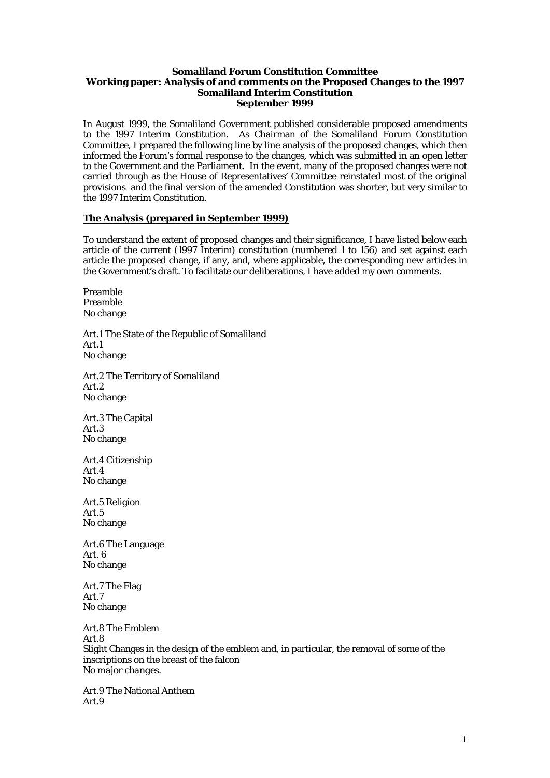### **Somaliland Forum Constitution Committee Working paper: Analysis of and comments on the Proposed Changes to the 1997 Somaliland Interim Constitution September 1999**

In August 1999, the Somaliland Government published considerable proposed amendments to the 1997 Interim Constitution. As Chairman of the Somaliland Forum Constitution Committee, I prepared the following line by line analysis of the proposed changes, which then informed the Forum's formal response to the changes, which was submitted in an open letter to the Government and the Parliament. In the event, many of the proposed changes were not carried through as the House of Representatives' Committee reinstated most of the original provisions and the final version of the amended Constitution was shorter, but very similar to the 1997 Interim Constitution.

## **The Analysis (prepared in September 1999)**

To understand the extent of proposed changes and their significance, I have listed below each article of the current (1997 Interim) constitution (numbered 1 to 156) and set against each article the proposed change, if any, and, where applicable, the corresponding new articles in the Government's draft. To facilitate our deliberations, I have added my own comments.

Preamble Preamble No change

Art.1 The State of the Republic of Somaliland Art.1 No change

Art.2 The Territory of Somaliland Art.2 No change

Art.3 The Capital Art.3 No change

Art.4 Citizenship Art.4 No change

Art.5 Religion Art.5 No change

Art.6 The Language Art. 6 No change

Art.7 The Flag Art.7 No change

Art.8 The Emblem Art.8 Slight Changes in the design of the emblem and, in particular, the removal of some of the inscriptions on the breast of the falcon *No major changes.* 

Art.9 The National Anthem Art.9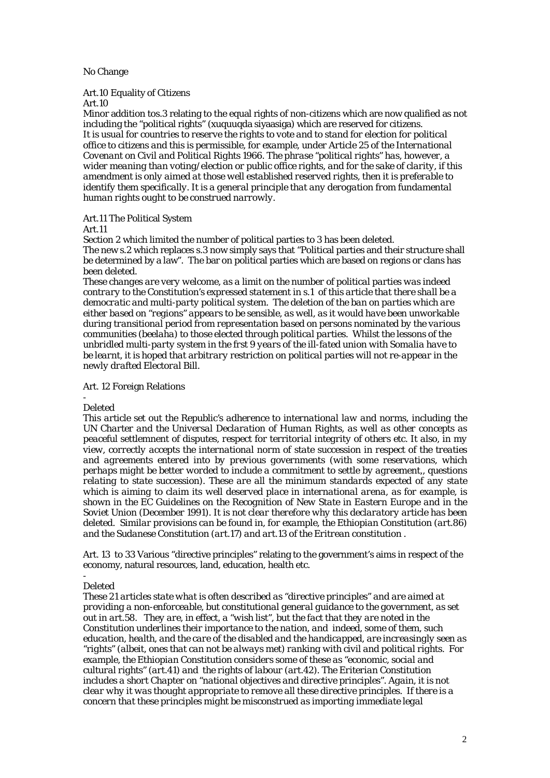## No Change

# Art.10 Equality of Citizens

Art.10

Minor addition tos.3 relating to the equal rights of non-citizens which are now qualified as not including the "political rights" (xuquuqda siyaasiga) which are reserved for citizens. *It is usual for countries to reserve the rights to vote and to stand for election for political office to citizens and this is permissible, for example, under Article 25 of the International Covenant on Civil and Political Rights 1966. The phrase "political rights" has, however, a wider meaning than voting/election or public office rights, and for the sake of clarity, if this amendment is only aimed at those well established reserved rights, then it is preferable to identify them specifically. It is a general principle that any derogation from fundamental human rights ought to be construed narrowly.* 

## Art.11 The Political System

Art.11

Section 2 which limited the number of political parties to 3 has been deleted.

The new s.2 which replaces s.3 now simply says that "Political parties and their structure shall be determined by a law". The bar on political parties which are based on regions or clans has been deleted.

*These changes are very welcome, as a limit on the number of political parties was indeed contrary to the Constitution's expressed statement in s.1 of this article that there shall be a democratic and multi-party political system. The deletion of the ban on parties which are either based on "regions" appears to be sensible, as well, as it would have been unworkable during transitional period from representation based on persons nominated by the various communities (beelaha) to those elected through political parties. Whilst the lessons of the unbridled multi-party system in the frst 9 years of the ill-fated union with Somalia have to be learnt, it is hoped that arbitrary restriction on political parties will not re-appear in the newly drafted Electoral Bill.* 

## Art. 12 Foreign Relations

#### - Deleted

*This article set out the Republic's adherence to international law and norms, including the UN Charter and the Universal Declaration of Human Rights, as well as other concepts as peaceful settlemnent of disputes, respect for territorial integrity of others etc. It also, in my view, correctly accepts the international norm of state succession in respect of the treaties and agreements entered into by previous governments (with some reservations, which perhaps might be better worded to include a commitment to settle by agreement,, questions relating to state succession). These are all the minimum standards expected of any state which is aiming to claim its well deserved place in international arena, as for example, is shown in the EC Guidelines on the Recognition of New State in Eastern Europe and in the Soviet Union (December 1991). It is not clear therefore why this declaratory article has been deleted. Similar provisions can be found in, for example, the Ethiopian Constitution (art.86) and the Sudanese Constitution (art.17) and art.13 of the Eritrean constitution .* 

Art. 13 to 33 Various "directive principles" relating to the government's aims in respect of the economy, natural resources, land, education, health etc.

#### - Deleted

*These 21 articles state what is often described as "directive principles" and are aimed at providing a non-enforceable, but constitutional general guidance to the government, as set out in art.58. They are, in effect, a "wish list", but the fact that they are noted in the Constitution underlines their importance to the nation, and indeed, some of them, such education, health, and the care of the disabled and the handicapped, are increasingly seen as "rights" (albeit, ones that can not be always met) ranking with civil and political rights. For example, the Ethiopian Constitution considers some of these as "economic, social and cultural rights" (art.41) and the rights of labour (art.42). The Eriterian Constitution includes a short Chapter on "national objectives and directive principles". Again, it is not clear why it was thought appropriate to remove all these directive principles. If there is a concern that these principles might be misconstrued as importing immediate legal*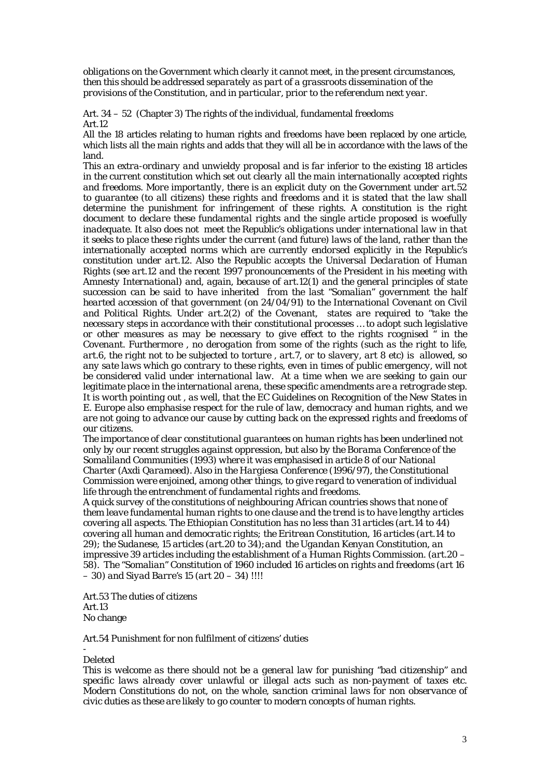*obligations on the Government which clearly it cannot meet, in the present circumstances, then this should be addressed separately as part of a grassroots dissemination of the provisions of the Constitution, and in particular, prior to the referendum next year.* 

Art. 34 – 52 (Chapter 3) The rights of the individual, fundamental freedoms Art.12

All the 18 articles relating to human rights and freedoms have been replaced by one article, which lists all the main rights and adds that they will all be in accordance with the laws of the land.

*This an extra-ordinary and unwieldy proposal and is far inferior to the existing 18 articles in the current constitution which set out clearly all the main internationally accepted rights and freedoms. More importantly, there is an explicit duty on the Government under art.52 to guarantee (to all citizens) these rights and freedoms and it is stated that the law shall determine the punishment for infringement of these rights. A constitution is the right document to declare these fundamental rights and the single article proposed is woefully inadequate. It also does not meet the Republic's obligations under international law in that it seeks to place these rights under the current (and future) laws of the land, rather than the internationally accepted norms which are currently endorsed explicitly in the Republic's constitution under art.12. Also the Republic accepts the Universal Declaration of Human Rights (see art.12 and the recent 1997 pronouncements of the President in his meeting with Amnesty International) and, again, because of art.12(1) and the general principles of state succession can be said to have inherited from the last "Somalian" government the half hearted accession of that government (on 24/04/91) to the International Covenant on Civil and Political Rights. Under art.2(2) of the Covenant, states are required to "take the necessary steps in accordance with their constitutional processes … to adopt such legislative or other measures as may be necessary to give effect to the rights rcognised " in the Covenant. Furthermore , no derogation from some of the rights (such as the right to life, art.6, the right not to be subjected to torture , art.7, or to slavery, art 8 etc) is allowed, so any sate laws which go contrary to these rights, even in times of public emergency, will not be considered valid under international law. At a time when we are seeking to gain our legitimate place in the international arena, these specific amendments are a retrograde step. It is worth pointing out , as well, that the EC Guidelines on Recognition of the New States in E. Europe also emphasise respect for the rule of law, democracy and human rights, and we are not going to advance our cause by cutting back on the expressed rights and freedoms of our citizens.* 

*The importance of clear constitutional guarantees on human rights has been underlined not only by our recent struggles against oppression, but also by the Borama Conference of the Somaliland Communities (1993) where it was emphasised in article 8 of our National Charter (Axdi Qarameed). Also in the Hargiesa Conference (1996/97), the Constitutional Commission were enjoined, among other things, to give regard to veneration of individual life through the entrenchment of fundamental rights and freedoms.* 

*A quick survey of the constitutions of neighbouring African countries shows that none of them leave fundamental human rights to one clause and the trend is to have lengthy articles covering all aspects. The Ethiopian Constitution has no less than 31 articles (art.14 to 44) covering all human and democratic rights; the Eritrean Constitution, 16 articles (art.14 to 29); the Sudanese, 15 articles (art.20 to 34);and the Ugandan Kenyan Constitution, an impressive 39 articles including the establishment of a Human Rights Commission. (art.20 – 58). The "Somalian" Constitution of 1960 included 16 articles on rights and freedoms (art 16 – 30) and Siyad Barre's 15 (art 20 – 34) !!!!* 

Art.53 The duties of citizens Art.13 No change

Art.54 Punishment for non fulfilment of citizens' duties

## Deleted

-

*This is welcome as there should not be a general law for punishing "bad citizenship" and specific laws already cover unlawful or illegal acts such as non-payment of taxes etc. Modern Constitutions do not, on the whole, sanction criminal laws for non observance of civic duties as these are likely to go counter to modern concepts of human rights.*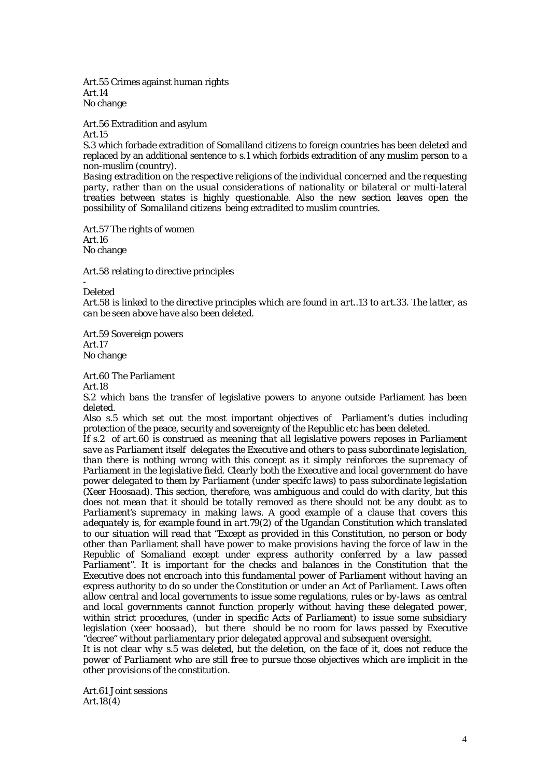Art.55 Crimes against human rights Art.14 No change

Art.56 Extradition and asylum

Art.15

S.3 which forbade extradition of Somaliland citizens to foreign countries has been deleted and replaced by an additional sentence to s.1 which forbids extradition of any muslim person to a non-muslim (country).

*Basing extradition on the respective religions of the individual concerned and the requesting*  party, rather than on the usual considerations of nationality or bilateral or multi-lateral *treaties between states is highly questionable. Also the new section leaves open the possibility of Somaliland citizens being extradited to muslim countries.* 

Art.57 The rights of women Art.16 No change

Art.58 relating to directive principles

- Deleted

*Art.58 is linked to the directive principles which are found in art..13 to art.33. The latter, as can be seen above have also been deleted.* 

Art.59 Sovereign powers Art.17 No change

Art.60 The Parliament

Art.18

S.2 which bans the transfer of legislative powers to anyone outside Parliament has been deleted.

Also s.5 which set out the most important objectives of Parliament's duties including protection of the peace, security and sovereignty of the Republic etc has been deleted.

*If s.2 of art.60 is construed as meaning that all legislative powers reposes in Parliament save as Parliament itself delegates the Executive and others to pass subordinate legislation, than there is nothing wrong with this concept as it simply reinforces the supremacy of Parliament in the legislative field. Clearly both the Executive and local government do have power delegated to them by Parliament (under specifc laws) to pass subordinate legislation (Xeer Hoosaad). This section, therefore, was ambiguous and could do with clarity, but this does not mean that it should be totally removed as there should not be any doubt as to Parliament's supremacy in making laws. A good example of a clause that covers this adequately is, for example found in art.79(2) of the Ugandan Constitution which translated to our situation will read that "Except as provided in this Constitution, no person or body other than Parliament shall have power to make provisions having the force of law in the Republic of Somaliand except under express authority conferred by a law passed Parliament". It is important for the checks and balances in the Constitution that the Executive does not encroach into this fundamental power of Parliament without having an express authority to do so under the Constitution or under an Act of Parliament. Laws often allow central and local governments to issue some regulations, rules or by-laws as central and local governments cannot function properly without having these delegated power, within strict procedures, (under in specific Acts of Parliament) to issue some subsidiary legislation (xeer hoosaad), but there should be no room for laws passed by Executive "decree" without parliamentary prior delegated approval and subsequent oversight.* 

*It is not clear why s.5 was deleted, but the deletion, on the face of it, does not reduce the power of Parliament who are still free to pursue those objectives which are implicit in the other provisions of the constitution.* 

Art.61 Joint sessions Art.18(4)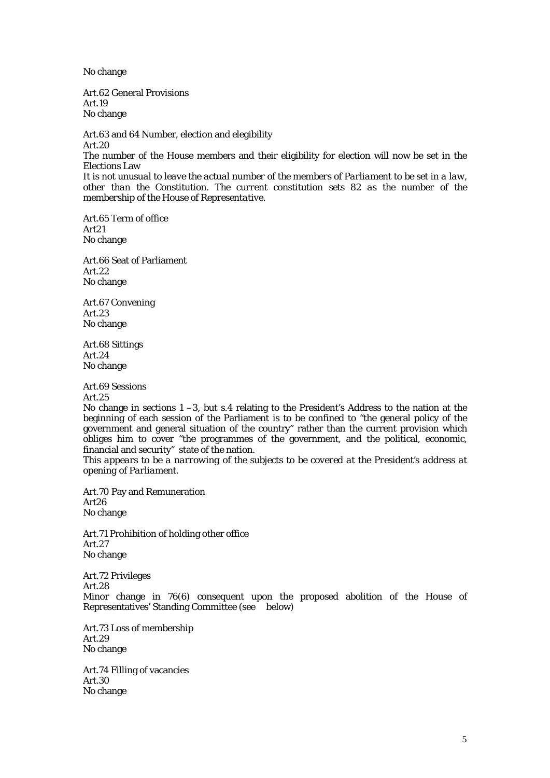No change

Art.62 General Provisions Art.19 No change

Art.63 and 64 Number, election and elegibility Art.20 The number of the House members and their eligibility for election will now be set in the Elections Law *It is not unusual to leave the actual number of the members of Parliament to be set in a law, other than the Constitution. The current constitution sets 82 as the number of the membership of the House of Representative.* 

Art.65 Term of office Art21 No change

Art.66 Seat of Parliament Art.22 No change

Art.67 Convening Art.23 No change

Art.68 Sittings Art.24 No change

Art.69 Sessions Art.25

No change in sections 1 –3, but s.4 relating to the President's Address to the nation at the beginning of each session of the Parliament is to be confined to "the general policy of the government and general situation of the country" rather than the current provision which obliges him to cover "the programmes of the government, and the political, economic, financial and security" state of the nation.

*This appears to be a narrowing of the subjects to be covered at the President's address at opening of Parliament.* 

Art.70 Pay and Remuneration Art26 No change

Art.71 Prohibition of holding other office Art.27 No change

Art.72 Privileges Art.28 Minor change in 76(6) consequent upon the proposed abolition of the House of Representatives' Standing Committee (see below)

Art.73 Loss of membership Art.29 No change

Art.74 Filling of vacancies Art.30 No change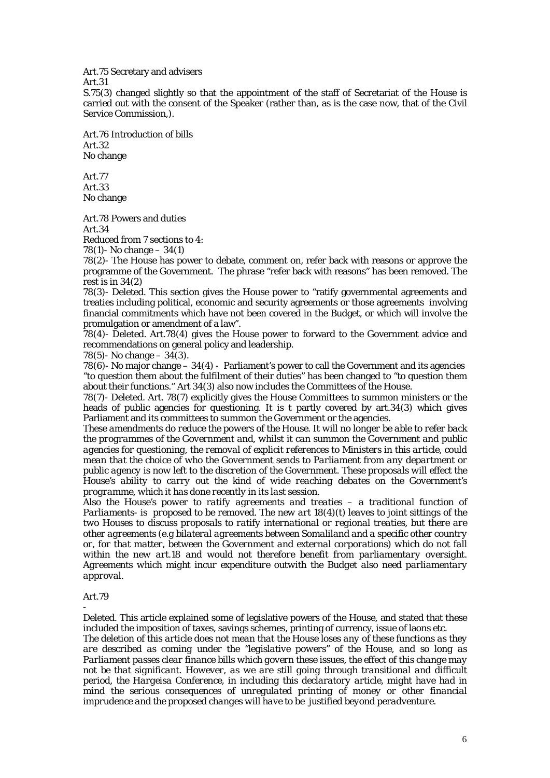Art.75 Secretary and advisers

Art.31

S.75(3) changed slightly so that the appointment of the staff of Secretariat of the House is carried out with the consent of the Speaker (rather than, as is the case now, that of the Civil Service Commission,).

Art.76 Introduction of bills Art.32 No change

Art.77 Art.33 No change

Art.78 Powers and duties Art.34 Reduced from 7 sections to 4:

78(1)- No change – 34(1)

78(2)- The House has power to debate, comment on, refer back with reasons or approve the programme of the Government. The phrase "refer back with reasons" has been removed. The rest is in 34(2)

78(3)- Deleted. This section gives the House power to "ratify governmental agreements and treaties including political, economic and security agreements or those agreements involving financial commitments which have not been covered in the Budget, or which will involve the promulgation or amendment of a law".

78(4)- Deleted. Art.78(4) gives the House power to forward to the Government advice and recommendations on general policy and leadership.

78(5) - No change  $-34(3)$ .

78(6)- No major change  $-34(4)$  - Parliament's power to call the Government and its agencies "to question them about the fulfilment of their duties" has been changed to "to question them about their functions." Art 34(3) also now includes the Committees of the House.

78(7)- Deleted. Art. 78(7) explicitly gives the House Committees to summon ministers or the heads of public agencies for questioning. It is t partly covered by art.34(3) which gives Parliament and its committees to summon the Government or the agencies.

*These amendments do reduce the powers of the House. It will no longer be able to refer back the programmes of the Government and, whilst it can summon the Government and public agencies for questioning, the removal of explicit references to Ministers in this article, could mean that the choice of who the Government sends to Parliament from any department or public agency is now left to the discretion of the Government. These proposals will effect the House's ability to carry out the kind of wide reaching debates on the Government's programme, which it has done recently in its last session.* 

*Also the House's power to ratify agreements and treaties – a traditional function of Parliaments- is proposed to be removed. The new art 18(4)(t) leaves to joint sittings of the two Houses to discuss proposals to ratify international or regional treaties, but there are other agreements (e.g bilateral agreements between Somaliland and a specific other country or, for that matter, between the Government and external corporations) which do not fall within the new art.18 and would not therefore benefit from parliamentary oversight. Agreements which might incur expenditure outwith the Budget also need parliamentary approval.* 

## Art.79

-

Deleted. This article explained some of legislative powers of the House, and stated that these included the imposition of taxes, savings schemes, printing of currency, issue of laons etc.

*The deletion of this article does not mean that the House loses any of these functions as they are described as coming under the "legislative powers" of the House, and so long as Parliament passes clear finance bills which govern these issues, the effect of this change may not be that significant. However, as we are still going through transitional and difficult period, the Hargeisa Conference, in including this declaratory article, might have had in mind the serious consequences of unregulated printing of money or other financial imprudence and the proposed changes will have to be justified beyond peradventure.*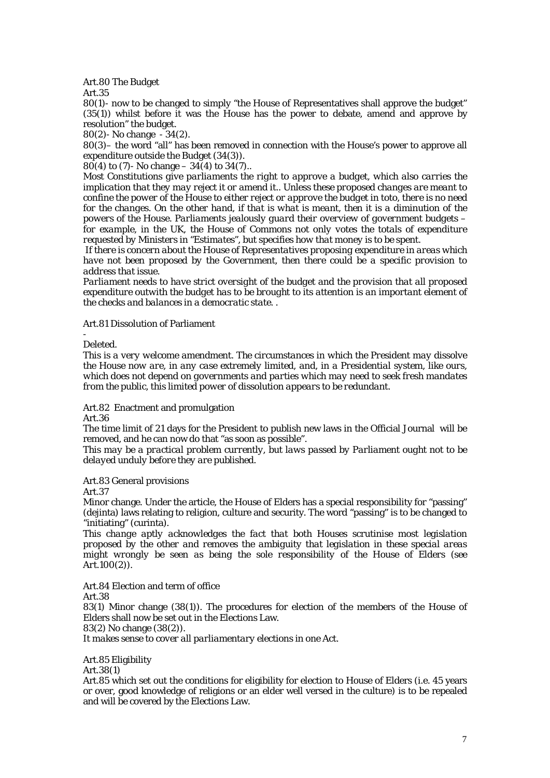### Art.80 The Budget

Art.35

80(1)- now to be changed to simply "the House of Representatives shall approve the budget" (35(1)) whilst before it was the House has the power to debate, amend and approve by resolution" the budget.

80(2)- No change - 34(2).

80(3)– the word "all" has been removed in connection with the House's power to approve all expenditure outside the Budget (34(3)).

80(4) to (7)- No change –  $34(4)$  to  $34(7)$ ..

*Most Constitutions give parliaments the right to approve a budget, which also carries the implication that they may reject it or amend it.. Unless these proposed changes are meant to confine the power of the House to either reject or approve the budget in toto, there is no need for the changes. On the other hand, if that is what is meant, then it is a diminution of the powers of the House. Parliaments jealously guard their overview of government budgets – for example, in the UK, the House of Commons not only votes the totals of expenditure requested by Ministers in "Estimates", but specifies how that money is to be spent.* 

 *If there is concern about the House of Representatives proposing expenditure in areas which have not been proposed by the Government, then there could be a specific provision to address that issue.* 

*Parliament needs to have strict oversight of the budget and the provision that all proposed expenditure outwith the budget has to be brought to its attention is an important element of the checks and balances in a democratic state. .* 

Art.81 Dissolution of Parliament

Deleted.

-

*This is a very welcome amendment. The circumstances in which the President may dissolve the House now are, in any case extremely limited, and, in a Presidential system, like ours, which does not depend on governments and parties which may need to seek fresh mandates from the public, this limited power of dissolution appears to be redundant.* 

Art.82 Enactment and promulgation Art.36

The time limit of 21 days for the President to publish new laws in the Official Journal will be removed, and he can now do that "as soon as possible".

*This may be a practical problem currently, but laws passed by Parliament ought not to be delayed unduly before they are published.* 

Art.83 General provisions

Art.37

Minor change. Under the article, the House of Elders has a special responsibility for "passing" (dejinta) laws relating to religion, culture and security. The word "passing" is to be changed to "initiating" (curinta).

*This change aptly acknowledges the fact that both Houses scrutinise most legislation proposed by the other and removes the ambiguity that legislation in these special areas might wrongly be seen as being the sole responsibility of the House of Elders (see Art.100(2)).* 

Art.84 Election and term of office Art.38 83(1) Minor change (38(1)). The procedures for election of the members of the House of Elders shall now be set out in the Elections Law. 83(2) No change (38(2)). *It makes sense to cover all parliamentary elections in one Act.* 

Art.85 Eligibility

Art.38(1)

Art.85 which set out the conditions for eligibility for election to House of Elders (i.e. 45 years or over, good knowledge of religions or an elder well versed in the culture) is to be repealed and will be covered by the Elections Law.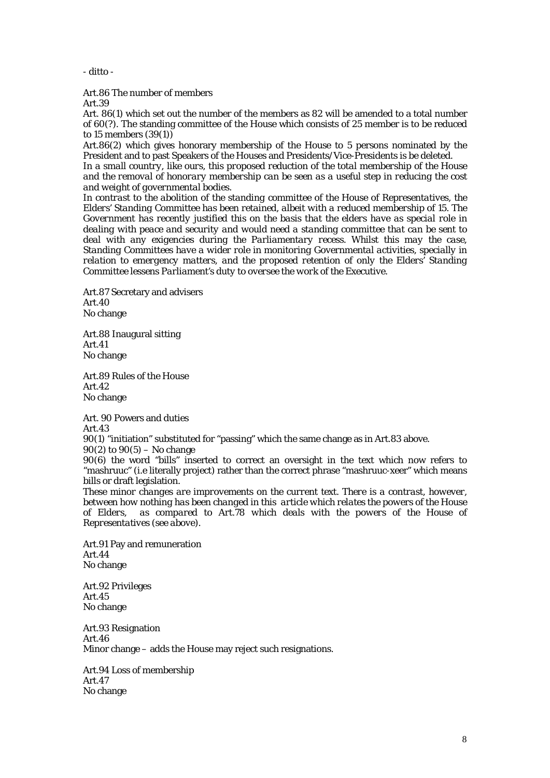*- ditto -* 

Art.86 The number of members

Art.39

Art. 86(1) which set out the number of the members as 82 will be amended to a total number of 60(?). The standing committee of the House which consists of 25 member is to be reduced to 15 members (39(1))

Art.86(2) which gives honorary membership of the House to 5 persons nominated by the President and to past Speakers of the Houses and Presidents/Vice-Presidents is be deleted.

*In a small country, like ours, this proposed reduction of the total membership of the House and the removal of honorary membership can be seen as a useful step in reducing the cost and weight of governmental bodies.* 

*In contrast to the abolition of the standing committee of the House of Representatives, the Elders' Standing Committee has been retained, albeit with a reduced membership of 15. The Government has recently justified this on the basis that the elders have as special role in dealing with peace and security and would need a standing committee that can be sent to deal with any exigencies during the Parliamentary recess. Whilst this may the case, Standing Committees have a wider role in monitoring Governmental activities, specially in relation to emergency matters, and the proposed retention of only the Elders' Standing Committee lessens Parliament's duty to oversee the work of the Executive.* 

Art.87 Secretary and advisers Art.40 No change

Art.88 Inaugural sitting Art.41 No change

Art.89 Rules of the House Art.42 No change

Art. 90 Powers and duties Art.43 90(1) "initiation" substituted for "passing" which the same change as in Art.83 above.  $90(2)$  to  $90(5)$  – No change 90(6) the word "bills" inserted to correct an oversight in the text which now refers to "mashruuc" (i.e literally project) rather than the correct phrase "mashruuc-xeer" which means

bills or draft legislation. *These minor changes are improvements on the current text. There is a contrast, however, between how nothing has been changed in this article which relates the powers of the House of Elders, as compared to Art.78 which deals with the powers of the House of Representatives (see above).* 

Art.91 Pay and remuneration Art.44 No change

Art.92 Privileges Art.45 No change

Art.93 Resignation Art.46 Minor change – adds the House may reject such resignations.

Art.94 Loss of membership Art.47 No change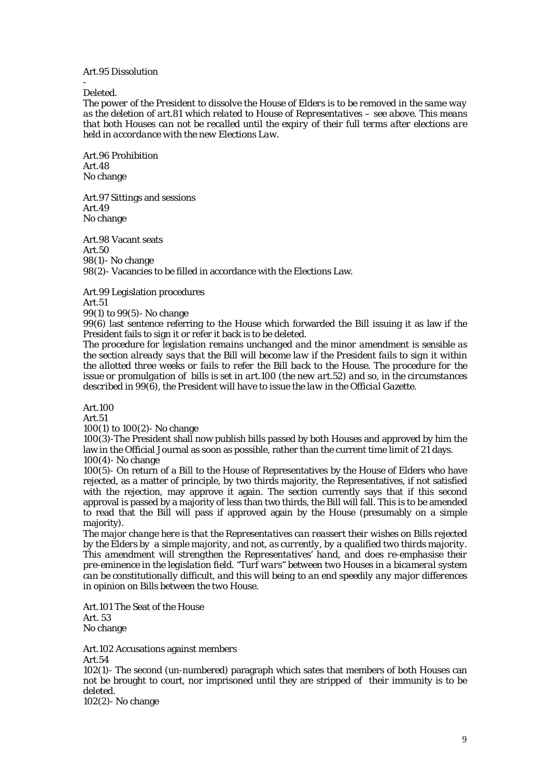### Art.95 Dissolution

Deleted.

-

*The power of the President to dissolve the House of Elders is to be removed in the same way as the deletion of art.81 which related to House of Representatives – see above. This means that both Houses can not be recalled until the expiry of their full terms after elections are held in accordance with the new Elections Law.* 

Art.96 Prohibition Art.48 No change

Art.97 Sittings and sessions Art.49 No change

Art.98 Vacant seats Art.50 98(1)- No change 98(2)- Vacancies to be filled in accordance with the Elections Law.

Art.99 Legislation procedures

Art.51

99(1) to 99(5)- No change

99(6) last sentence referring to the House which forwarded the Bill issuing it as law if the President fails to sign it or refer it back is to be deleted.

*The procedure for legislation remains unchanged and the minor amendment is sensible as the section already says that the Bill will become law if the President fails to sign it within the allotted three weeks or fails to refer the Bill back to the House. The procedure for the issue or promulgation of bills is set in art.100 (the new art.52) and so, in the circumstances described in 99(6), the President will have to issue the law in the Official Gazette.* 

Art.100

Art.51

100(1) to 100(2)- No change

100(3)-The President shall now publish bills passed by both Houses and approved by him the law in the Official Journal as soon as possible, rather than the current time limit of 21 days. 100(4)- No change

100(5)- On return of a Bill to the House of Representatives by the House of Elders who have rejected, as a matter of principle, by two thirds majority, the Representatives, if not satisfied with the rejection, may approve it again. The section currently says that if this second approval is passed by a majority of less than two thirds, the Bill will fall. This is to be amended to read that the Bill will pass if approved again by the House (presumably on a simple majority).

*The major change here is that the Representatives can reassert their wishes on Bills rejected by the Elders by a simple majority, and not, as currently, by a qualified two thirds majority. This amendment will strengthen the Representatives' hand, and does re-emphasise their pre-eminence in the legislation field. "Turf wars" between two Houses in a bicameral system can be constitutionally difficult, and this will being to an end speedily any major differences in opinion on Bills between the two House.* 

Art.101 The Seat of the House Art. 53 No change

Art.102 Accusations against members Art.54 102(1)- The second (un-numbered) paragraph which sates that members of both Houses can not be brought to court, nor imprisoned until they are stripped of their immunity is to be deleted.

102(2)- No change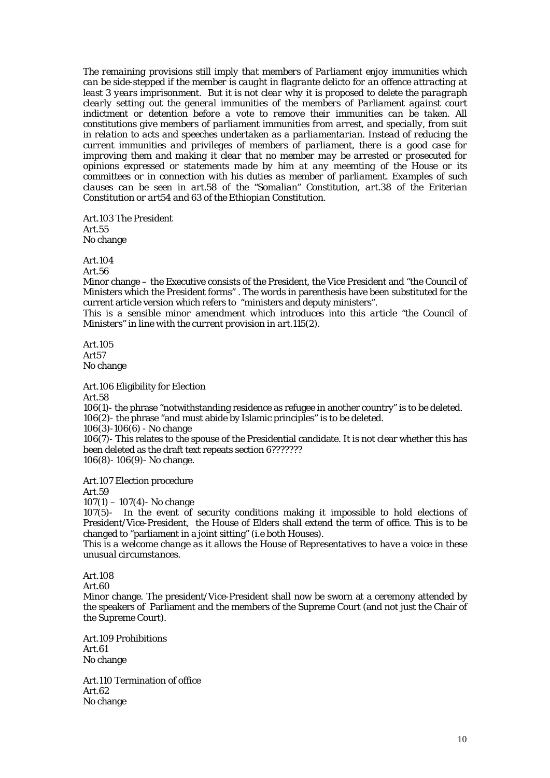*The remaining provisions still imply that members of Parliament enjoy immunities which can be side-stepped if the member is caught in flagrante delicto for an offence attracting at least 3 years imprisonment. But it is not clear why it is proposed to delete the paragraph clearly setting out the general immunities of the members of Parliament against court indictment or detention before a vote to remove their immunities can be taken. All constitutions give members of parliament immunities from arrest, and specially, from suit in relation to acts and speeches undertaken as a parliamentarian. Instead of reducing the current immunities and privileges of members of parliament, there is a good case for improving them and making it clear that no member may be arrested or prosecuted for opinions expressed or statements made by him at any meemting of the House or its committees or in connection with his duties as member of parliament. Examples of such clauses can be seen in art.58 of the "Somalian" Constitution, art.38 of the Eriterian Constitution or art54 and 63 of the Ethiopian Constitution.* 

Art.103 The President Art.55 No change

Art.104

Art.56

Minor change – the Executive consists of the President, the Vice President and "the Council of Ministers which the President forms" . The words in parenthesis have been substituted for the current article version which refers to "ministers and deputy ministers".

*This is a sensible minor amendment which introduces into this article "the Council of Ministers" in line with the current provision in art.115(2).* 

Art.105 Art57 No change

Art.106 Eligibility for Election

Art.58

106(1)- the phrase "notwithstanding residence as refugee in another country" is to be deleted. 106(2)- the phrase "and must abide by Islamic principles" is to be deleted.

 $106(3)-106(6)$  - No change

106(7)- This relates to the spouse of the Presidential candidate. It is not clear whether this has been deleted as the draft text repeats section 6????????

106(8)- 106(9)- No change.

Art.107 Election procedure

Art.59

 $107(1) - 107(4)$ - No change

107(5)- In the event of security conditions making it impossible to hold elections of President/Vice-President, the House of Elders shall extend the term of office. This is to be changed to "parliament in a joint sitting" (i.e both Houses).

*This is a welcome change as it allows the House of Representatives to have a voice in these unusual circumstances.* 

Art.108

Art.60

Minor change. The president/Vice-President shall now be sworn at a ceremony attended by the speakers of Parliament and the members of the Supreme Court (and not just the Chair of the Supreme Court).

Art.109 Prohibitions Art.61 No change

Art.110 Termination of office Art.62 No change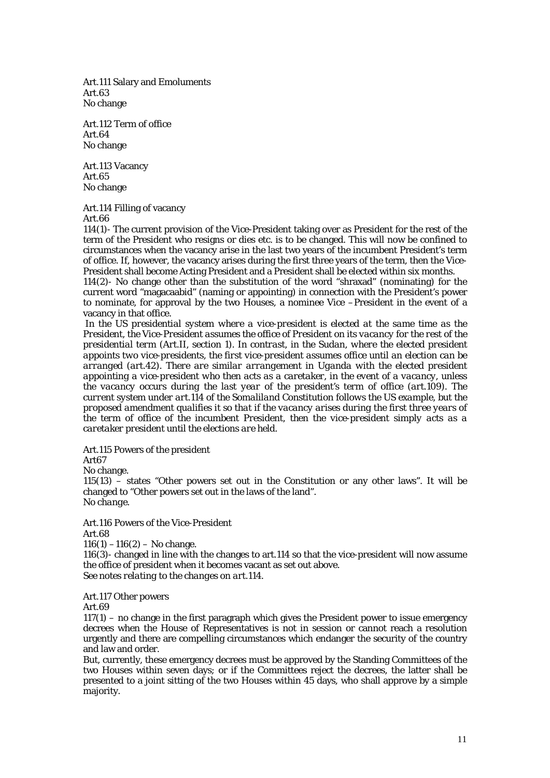Art.111 Salary and Emoluments Art.63 No change

Art.112 Term of office Art.64 No change

Art.113 Vacancy Art.65 No change

Art.114 Filling of vacancy Art.66

114(1)- The current provision of the Vice-President taking over as President for the rest of the term of the President who resigns or dies etc. is to be changed. This will now be confined to circumstances when the vacancy arise in the last two years of the incumbent President's term of office. If, however, the vacancy arises during the first three years of the term, then the Vice-President shall become Acting President and a President shall be elected within six months.

114(2)- No change other than the substitution of the word "shraxad" (nominating) for the current word "magacaabid" (naming or appointing) in connection with the President's power to nominate, for approval by the two Houses, a nominee Vice –President in the event of a vacancy in that office.

 *In the US presidential system where a vice-president is elected at the same time as the President, the Vice-President assumes the office of President on its vacancy for the rest of the presidential term (Art.II, section 1). In contrast, in the Sudan, where the elected president appoints two vice-presidents, the first vice-president assumes office until an election can be arranged (art.42). There are similar arrangement in Uganda with the elected president appointing a vice-president who then acts as a caretaker, in the event of a vacancy, unless the vacancy occurs during the last year of the president's term of office (art.109). The current system under art.114 of the Somaliland Constitution follows the US example, but the proposed amendment qualifies it so that if the vacancy arises during the first three years of the term of office of the incumbent President, then the vice-president simply acts as a caretaker president until the elections are held.* 

Art.115 Powers of the president

Art67

No change.

 $115(13)$  – states "Other powers set out in the Constitution or any other laws". It will be changed to "Other powers set out in the laws of the land". *No change.* 

Art.116 Powers of the Vice-President Art.68

 $116(1) - 116(2) -$ No change.

116(3)- changed in line with the changes to art.114 so that the vice-president will now assume the office of president when it becomes vacant as set out above. *See notes relating to the changes on art.114.* 

Art.117 Other powers

Art.69

 $117(1)$  – no change in the first paragraph which gives the President power to issue emergency decrees when the House of Representatives is not in session or cannot reach a resolution urgently and there are compelling circumstances which endanger the security of the country and law and order.

But, currently, these emergency decrees must be approved by the Standing Committees of the two Houses within seven days; or if the Committees reject the decrees, the latter shall be presented to a joint sitting of the two Houses within 45 days, who shall approve by a simple majority.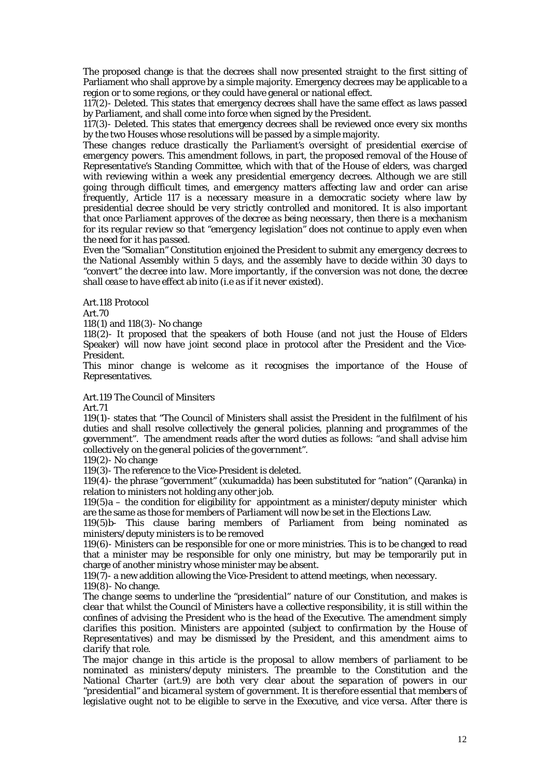The proposed change is that the decrees shall now presented straight to the first sitting of Parliament who shall approve by a simple majority. Emergency decrees may be applicable to a region or to some regions, or they could have general or national effect.

117(2)- Deleted. This states that emergency decrees shall have the same effect as laws passed by Parliament, and shall come into force when signed by the President.

117(3)- Deleted. This states that emergency decrees shall be reviewed once every six months by the two Houses whose resolutions will be passed by a simple majority.

*These changes reduce drastically the Parliament's oversight of presidential exercise of emergency powers. This amendment follows, in part, the proposed removal of the House of Representative's Standing Committee, which with that of the House of elders, was charged with reviewing within a week any presidential emergency decrees. Although we are still going through difficult times, and emergency matters affecting law and order can arise frequently, Article 117 is a necessary measure in a democratic society where law by presidential decree should be very strictly controlled and monitored. It is also important that once Parliament approves of the decree as being necessary, then there is a mechanism for its regular review so that "emergency legislation" does not continue to apply even when the need for it has passed.* 

*Even the "Somalian" Constitution enjoined the President to submit any emergency decrees to the National Assembly within 5 days, and the assembly have to decide within 30 days to "convert" the decree into law. More importantly, if the conversion was not done, the decree shall cease to have effect ab inito (i.e as if it never existed).* 

Art.118 Protocol

Art.70

118(1) and 118(3)- No change

118(2)- It proposed that the speakers of both House (and not just the House of Elders Speaker) will now have joint second place in protocol after the President and the Vice-President.

This minor change is welcome as it recognises the importance of the House of *Representatives.* 

Art.119 The Council of Minsiters

Art.71

119(1)- states that "The Council of Ministers shall assist the President in the fulfilment of his duties and shall resolve collectively the general policies, planning and programmes of the government". The amendment reads after the word duties as follows: "*and shall advise him collectively on the general policies of the government*".

119(2)- No change

119(3)- The reference to the Vice-President is deleted.

119(4)- the phrase "government" (xukumadda) has been substituted for "nation" (Qaranka) in relation to ministers not holding any other job.

 $119(5)a -$  the condition for eligibility for appointment as a minister/deputy minister which are the same as those for members of Parliament will now be set in the Elections Law.

119(5)b- This clause baring members of Parliament from being nominated as ministers/deputy ministers is to be removed

119(6)- Ministers can be responsible for one or more ministries. This is to be changed to read that a minister may be responsible for only one ministry, but may be temporarily put in charge of another ministry whose minister may be absent.

 $119(7)$ - a new addition allowing the Vice-President to attend meetings, when necessary. 119(8)- No change.

*The change seems to underline the "presidential" nature of our Constitution, and makes is clear that whilst the Council of Ministers have a collective responsibility, it is still within the confines of advising the President who is the head of the Executive. The amendment simply clarifies this position. Ministers are appointed (subject to confirmation by the House of Representatives) and may be dismissed by the President, and this amendment aims to clarify that role.* 

*The major change in this article is the proposal to allow members of parliament to be nominated as ministers/deputy ministers. The preamble to the Constitution and the National Charter (art.9) are both very clear about the separation of powers in our "presidential" and bicameral system of government. It is therefore essential that members of legislative ought not to be eligible to serve in the Executive, and vice versa. After there is*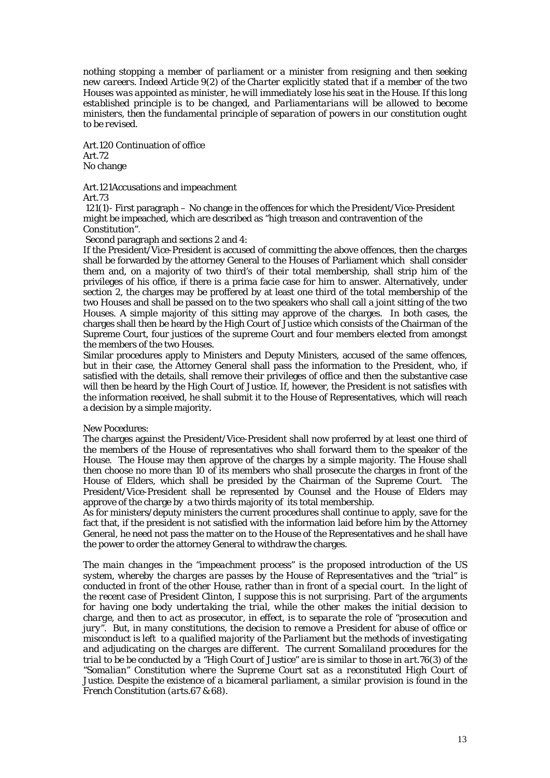*nothing stopping a member of parliament or a minister from resigning and then seeking new careers. Indeed Article 9(2) of the Charter explicitly stated that if a member of the two Houses was appointed as minister, he will immediately lose his seat in the House. If this long established principle is to be changed, and Parliamentarians will be allowed to become ministers, then the fundamental principle of separation of powers in our constitution ought to be revised.* 

Art.120 Continuation of office Art.72 No change

Art.121Accusations and impeachment

Art.73

 121(1)- First paragraph – No change in the offences for which the President/Vice-President might be impeached, which are described as "high treason and contravention of the Constitution".

Second paragraph and sections 2 and 4:

If the President/Vice-President is accused of committing the above offences, then the charges shall be forwarded by the attorney General to the Houses of Parliament which shall consider them and, on a majority of two third's of their total membership, shall strip him of the privileges of his office, if there is a prima facie case for him to answer. Alternatively, under section 2, the charges may be proffered by at least one third of the total membership of the two Houses and shall be passed on to the two speakers who shall call a joint sitting of the two Houses. A simple majority of this sitting may approve of the charges. In both cases, the charges shall then be heard by the High Court of Justice which consists of the Chairman of the Supreme Court, four justices of the supreme Court and four members elected from amongst the members of the two Houses.

Similar procedures apply to Ministers and Deputy Ministers, accused of the same offences, but in their case, the Attorney General shall pass the information to the President, who, if satisfied with the details, shall remove their privileges of office and then the substantive case will then be heard by the High Court of Justice. If, however, the President is not satisfies with the information received, he shall submit it to the House of Representatives, which will reach a decision by a simple majority.

## New Pocedures:

The charges against the President/Vice-President shall now proferred by at least one third of the members of the House of representatives who shall forward them to the speaker of the House. The House may then approve of the charges by a simple majority. The House shall then choose no more than 10 of its members who shall prosecute the charges in front of the House of Elders, which shall be presided by the Chairman of the Supreme Court. The President/Vice-President shall be represented by Counsel and the House of Elders may approve of the charge by a two thirds majority of its total membership.

As for ministers/deputy ministers the current procedures shall continue to apply, save for the fact that, if the president is not satisfied with the information laid before him by the Attorney General, he need not pass the matter on to the House of the Representatives and he shall have the power to order the attorney General to withdraw the charges.

*The main changes in the "impeachment process" is the proposed introduction of the US system, whereby the charges are passes by the House of Representatives and the "trial" is conducted in front of the other House, rather than in front of a special court. In the light of the recent case of President Clinton, I suppose this is not surprising. Part of the arguments for having one body undertaking the trial, while the other makes the initial decision to charge, and then to act as prosecutor, in effect, is to separate the role of "prosecution and jury". But, in many constitutions, the decision to remove a President for abuse of office or misconduct is left to a qualified majority of the Parliament but the methods of investigating and adjudicating on the charges are different. The current Somaliland procedures for the trial to be be conducted by a "High Court of Justice" are is similar to those in art.76(3) of the "Somalian" Constitution where the Supreme Court sat as a reconstituted High Court of Justice. Despite the existence of a bicameral parliament, a similar provision is found in the French Constitution (arts.67 & 68).*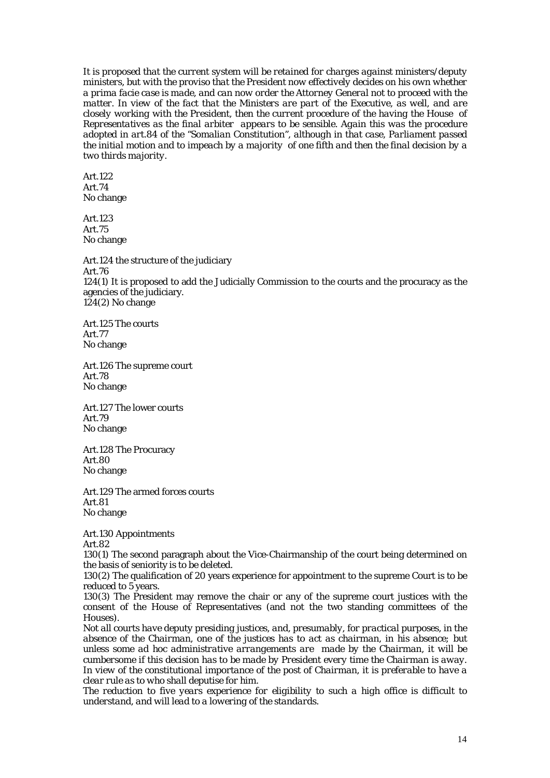*It is proposed that the current system will be retained for charges against ministers/deputy ministers, but with the proviso that the President now effectively decides on his own whether a prima facie case is made, and can now order the Attorney General not to proceed with the matter. In view of the fact that the Ministers are part of the Executive, as well, and are closely working with the President, then the current procedure of the having the House of Representatives as the final arbiter appears to be sensible. Again this was the procedure adopted in art.84 of the "Somalian Constitution", although in that case, Parliament passed the initial motion and to impeach by a majority of one fifth and then the final decision by a two thirds majority.* 

Art.122 Art.74 No change

Art.123 Art.75 No change

Art.124 the structure of the judiciary Art.76 124(1) It is proposed to add the Judicially Commission to the courts and the procuracy as the agencies of the judiciary. 124(2) No change

Art.125 The courts Art.77 No change

Art.126 The supreme court Art.78 No change

Art.127 The lower courts Art.79 No change

Art.128 The Procuracy Art.80 No change

Art.129 The armed forces courts Art.81 No change

Art.130 Appointments Art.82

130(1) The second paragraph about the Vice-Chairmanship of the court being determined on the basis of seniority is to be deleted.

130(2) The qualification of 20 years experience for appointment to the supreme Court is to be reduced to 5 years.

130(3) The President may remove the chair or any of the supreme court justices with the consent of the House of Representatives (and not the two standing committees of the Houses).

*Not all courts have deputy presiding justices, and, presumably, for practical purposes, in the absence of the Chairman, one of the justices has to act as chairman, in his absence; but unless some ad hoc administrative arrangements are made by the Chairman, it will be cumbersome if this decision has to be made by President every time the Chairman is away. In view of the constitutional importance of the post of Chairman, it is preferable to have a clear rule as to who shall deputise for him.* 

*The reduction to five years experience for eligibility to such a high office is difficult to understand, and will lead to a lowering of the standards.*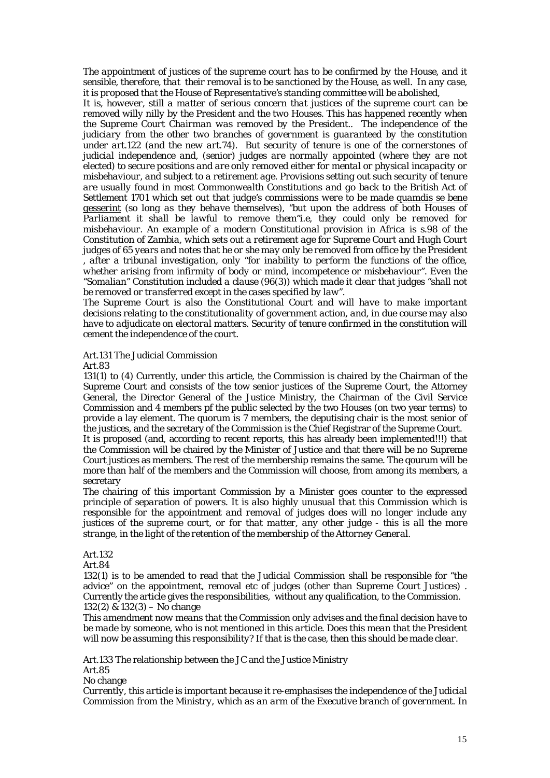*The appointment of justices of the supreme court has to be confirmed by the House, and it sensible, therefore, that their removal is to be sanctioned by the House, as well. In any case, it is proposed that the House of Representative's standing committee will be abolished,* 

*It is, however, still a matter of serious concern that justices of the supreme court can be removed willy nilly by the President and the two Houses. This has happened recently when the Supreme Court Chairman was removed by the President.. The independence of the judiciary from the other two branches of government is guaranteed by the constitution under art.122 (and the new art.74). But security of tenure is one of the cornerstones of judicial independence and, (senior) judges are normally appointed (where they are not elected) to secure positions and are only removed either for mental or physical incapacity or misbehaviour, and subject to a retirement age. Provisions setting out such security of tenure are usually found in most Commonwealth Constitutions and go back to the British Act of Settlement 1701 which set out that judge's commissions were to be made quamdis se bene gesserint (so long as they behave themselves), "but upon the address of both Houses of Parliament it shall be lawful to remove them"i.e, they could only be removed for misbehaviour. An example of a modern Constitutional provision in Africa is s.98 of the Constitution of Zambia, which sets out a retirement age for Supreme Court and Hugh Court judges of 65 years and notes that he or she may only be removed from office by the President , after a tribunal investigation, only "for inability to perform the functions of the office, whether arising from infirmity of body or mind, incompetence or misbehaviour". Even the "Somalian" Constitution included a clause (96(3)) which made it clear that judges "shall not be removed or transferred except in the cases specified by law".* 

*The Supreme Court is also the Constitutional Court and will have to make important decisions relating to the constitutionality of government action, and, in due course may also have to adjudicate on electoral matters. Security of tenure confirmed in the constitution will cement the independence of the court.* 

Art.131 The Judicial Commission

Art.83

131(1) to (4) Currently, under this article, the Commission is chaired by the Chairman of the Supreme Court and consists of the tow senior justices of the Supreme Court, the Attorney General, the Director General of the Justice Ministry, the Chairman of the Civil Service Commission and 4 members pf the public selected by the two Houses (on two year terms) to provide a lay element. The quorum is 7 members, the deputising chair is the most senior of the justices, and the secretary of the Commission is the Chief Registrar of the Supreme Court.

It is proposed (and, according to recent reports, this has already been implemented!!!) that the Commission will be chaired by the Minister of Justice and that there will be no Supreme Court justices as members. The rest of the membership remains the same. The qourum will be more than half of the members and the Commission will choose, from among its members, a secretary

*The chairing of this important Commission by a Minister goes counter to the expressed principle of separation of powers. It is also highly unusual that this Commission which is responsible for the appointment and removal of judges does will no longer include any justices of the supreme court, or for that matter, any other judge - this is all the more strange, in the light of the retention of the membership of the Attorney General.* 

Art.132

Art.84

132(1) is to be amended to read that the Judicial Commission shall be responsible for "the advice" on the appointment, removal etc of judges (other than Supreme Court Justices) . Currently the article gives the responsibilities, without any qualification, to the Commission. 132(2) & 132(3) – No change

*This amendment now means that the Commission only advises and the final decision have to be made by someone, who is not mentioned in this article. Does this mean that the President will now be assuming this responsibility? If that is the case, then this should be made clear.* 

Art.133 The relationship between the JC and the Justice Ministry Art.85

No change

*Currently, this article is important because it re-emphasises the independence of the Judicial Commission from the Ministry, which as an arm of the Executive branch of government. In*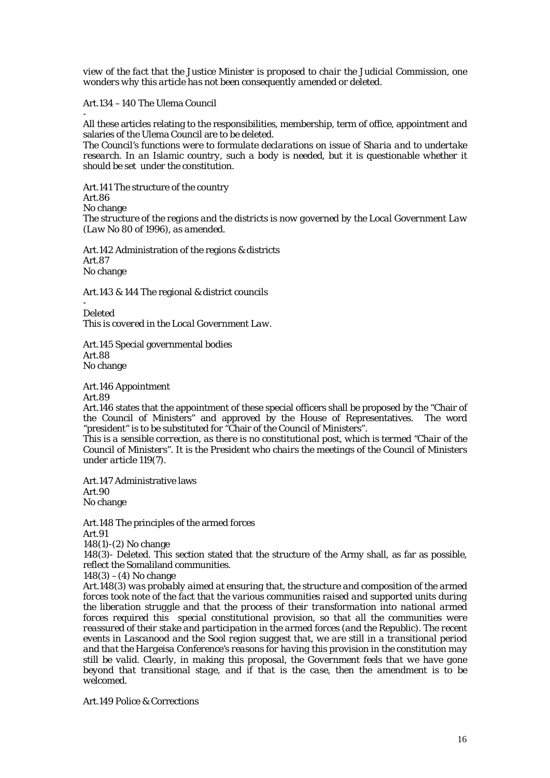*view of the fact that the Justice Minister is proposed to chair the Judicial Commission, one wonders why this article has not been consequently amended or deleted.* 

Art.134 –140 The Ulema Council

-

All these articles relating to the responsibilities, membership, term of office, appointment and salaries of the Ulema Council are to be deleted.

*The Council's functions were to formulate declarations on issue of Sharia and to undertake research. In an Islamic country, such a body is needed, but it is questionable whether it should be set under the constitution.* 

Art.141 The structure of the country Art.86 No change *The structure of the regions and the districts is now governed by the Local Government Law (Law No 80 of 1996), as amended.* 

Art.142 Administration of the regions & districts Art.87 No change

Art.143 & 144 The regional & district councils

- Deleted *This is covered in the Local Government Law.* 

Art.145 Special governmental bodies Art.88 No change

Art.146 Appointment

Art.89

Art.146 states that the appointment of these special officers shall be proposed by the "Chair of the Council of Ministers" and approved by the House of Representatives. The word "president" is to be substituted for "Chair of the Council of Ministers".

*This is a sensible correction, as there is no constitutional post, which is termed "Chair of the Council of Ministers". It is the President who chairs the meetings of the Council of Ministers under article 119(7).* 

Art.147 Administrative laws Art.90 No change

Art.148 The principles of the armed forces Art.91

148(1)-(2) No change

148(3)- Deleted. This section stated that the structure of the Army shall, as far as possible, reflect the Somaliland communities.

 $148(3) - (4)$  No change

*Art.148(3) was probably aimed at ensuring that, the structure and composition of the armed forces took note of the fact that the various communities raised and supported units during the liberation struggle and that the process of their transformation into national armed forces required this special constitutional provision, so that all the communities were reassured of their stake and participation in the armed forces (and the Republic). The recent events in Lascanood and the Sool region suggest that, we are still in a transitional period and that the Hargeisa Conference's reasons for having this provision in the constitution may still be valid. Clearly, in making this proposal, the Government feels that we have gone beyond that transitional stage, and if that is the case, then the amendment is to be welcomed.* 

Art.149 Police & Corrections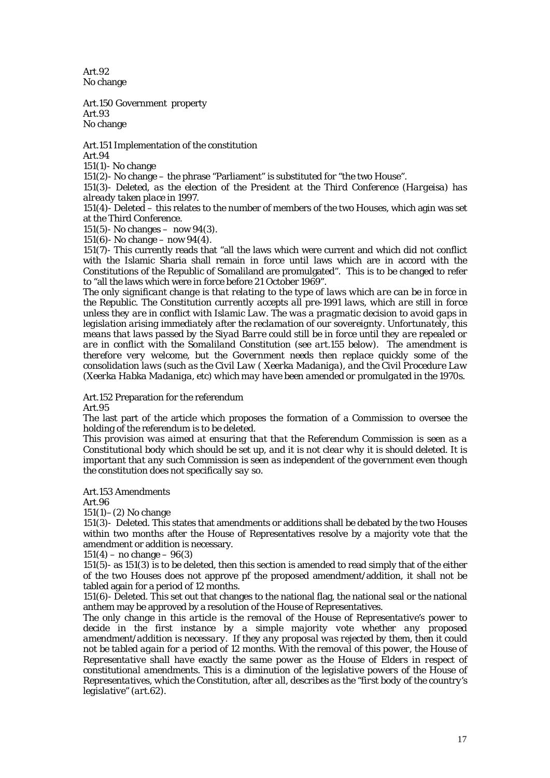Art.92 No change

Art.150 Government property Art.93 No change

Art.151 Implementation of the constitution

Art.94

151(1)- No change

151(2)- No change – the phrase "Parliament" is substituted for "the two House".

151(3)- Deleted, *as the election of the President at the Third Conference (Hargeisa) has already taken place in 1997.* 

151(4)- Deleted – this relates to the number of members of the two Houses, which agin was set at the Third Conference.

151(5)- No changes – now 94(3).

151(6) - No change – now  $94(4)$ .

151(7)- This currently reads that "all the laws which were current and which did not conflict with the Islamic Sharia shall remain in force until laws which are in accord with the Constitutions of the Republic of Somaliland are promulgated". This is to be changed to refer to "all the laws which were in force before 21 October 1969".

*The only significant change is that relating to the type of laws which are can be in force in the Republic. The Constitution currently accepts all pre-1991 laws, which are still in force unless they are in conflict with Islamic Law. The was a pragmatic decision to avoid gaps in legislation arising immediately after the reclamation of our sovereignty. Unfortunately, this means that laws passed by the Siyad Barre could still be in force until they are repealed or are in conflict with the Somaliland Constitution (see art.155 below). The amendment is therefore very welcome, but the Government needs then replace quickly some of the consolidation laws (such as the Civil Law ( Xeerka Madaniga), and the Civil Procedure Law (Xeerka Habka Madaniga, etc) which may have been amended or promulgated in the 1970s.* 

Art.152 Preparation for the referendum

Art.95

The last part of the article which proposes the formation of a Commission to oversee the holding of the referendum is to be deleted.

*This provision was aimed at ensuring that that the Referendum Commission is seen as a Constitutional body which should be set up, and it is not clear why it is should deleted. It is important that any such Commission is seen as independent of the government even though the constitution does not specifically say so.* 

Art.153 Amendments

Art.96

 $151(1)–(2)$  No change

151(3)- Deleted. This states that amendments or additions shall be debated by the two Houses within two months after the House of Representatives resolve by a majority vote that the amendment or addition is necessary.

 $151(4) - no change - 96(3)$ 

151(5)- as 151(3) is to be deleted, then this section is amended to read simply that of the either of the two Houses does not approve pf the proposed amendment/addition, it shall not be tabled again for a period of 12 months.

151(6)- Deleted. This set out that changes to the national flag, the national seal or the national anthem may be approved by a resolution of the House of Representatives.

*The only change in this article is the removal of the House of Representative's power to decide in the first instance by a simple majority vote whether any proposed amendment/addition is necessary. If they any proposal was rejected by them, then it could not be tabled again for a period of 12 months. With the removal of this power, the House of Representative shall have exactly the same power as the House of Elders in respect of constitutional amendments. This is a diminution of the legislative powers of the House of Representatives, which the Constitution, after all, describes as the "first body of the country's legislative" (art.62).*